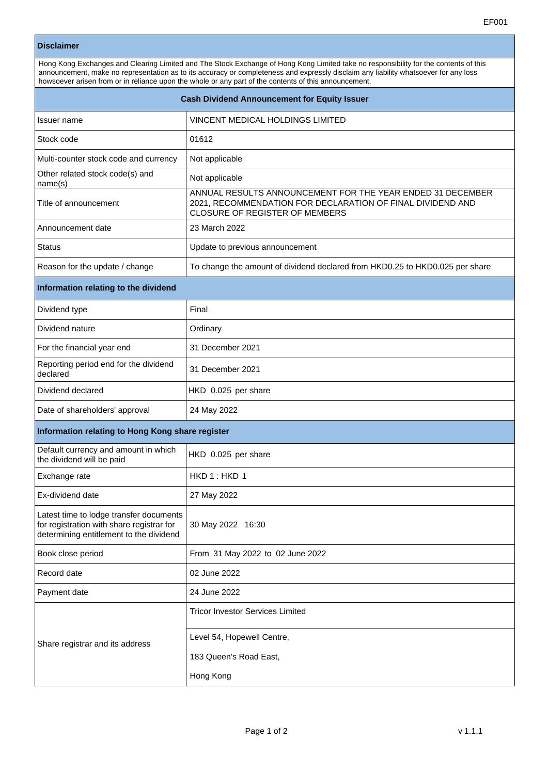## **Disclaimer**

Hong Kong Exchanges and Clearing Limited and The Stock Exchange of Hong Kong Limited take no responsibility for the contents of this announcement, make no representation as to its accuracy or completeness and expressly disclaim any liability whatsoever for any loss howsoever arisen from or in reliance upon the whole or any part of the contents of this announcement.

| <b>Cash Dividend Announcement for Equity Issuer</b>                                                                             |                                                                                                                                                            |  |
|---------------------------------------------------------------------------------------------------------------------------------|------------------------------------------------------------------------------------------------------------------------------------------------------------|--|
| Issuer name                                                                                                                     | VINCENT MEDICAL HOLDINGS LIMITED                                                                                                                           |  |
| Stock code                                                                                                                      | 01612                                                                                                                                                      |  |
| Multi-counter stock code and currency                                                                                           | Not applicable                                                                                                                                             |  |
| Other related stock code(s) and<br>name(s)                                                                                      | Not applicable                                                                                                                                             |  |
| Title of announcement                                                                                                           | ANNUAL RESULTS ANNOUNCEMENT FOR THE YEAR ENDED 31 DECEMBER<br>2021, RECOMMENDATION FOR DECLARATION OF FINAL DIVIDEND AND<br>CLOSURE OF REGISTER OF MEMBERS |  |
| Announcement date                                                                                                               | 23 March 2022                                                                                                                                              |  |
| <b>Status</b>                                                                                                                   | Update to previous announcement                                                                                                                            |  |
| Reason for the update / change                                                                                                  | To change the amount of dividend declared from HKD0.25 to HKD0.025 per share                                                                               |  |
| Information relating to the dividend                                                                                            |                                                                                                                                                            |  |
| Dividend type                                                                                                                   | Final                                                                                                                                                      |  |
| Dividend nature                                                                                                                 | Ordinary                                                                                                                                                   |  |
| For the financial year end                                                                                                      | 31 December 2021                                                                                                                                           |  |
| Reporting period end for the dividend<br>declared                                                                               | 31 December 2021                                                                                                                                           |  |
| Dividend declared                                                                                                               | HKD 0.025 per share                                                                                                                                        |  |
| Date of shareholders' approval                                                                                                  | 24 May 2022                                                                                                                                                |  |
| Information relating to Hong Kong share register                                                                                |                                                                                                                                                            |  |
| Default currency and amount in which<br>the dividend will be paid                                                               | HKD 0.025 per share                                                                                                                                        |  |
| Exchange rate                                                                                                                   | HKD 1: HKD 1                                                                                                                                               |  |
| Ex-dividend date                                                                                                                | 27 May 2022                                                                                                                                                |  |
| Latest time to lodge transfer documents<br>for registration with share registrar for<br>determining entitlement to the dividend | 30 May 2022 16:30                                                                                                                                          |  |
| Book close period                                                                                                               | From 31 May 2022 to 02 June 2022                                                                                                                           |  |
| Record date                                                                                                                     | 02 June 2022                                                                                                                                               |  |
| Payment date                                                                                                                    | 24 June 2022                                                                                                                                               |  |
| Share registrar and its address                                                                                                 | <b>Tricor Investor Services Limited</b>                                                                                                                    |  |
|                                                                                                                                 | Level 54, Hopewell Centre,                                                                                                                                 |  |
|                                                                                                                                 | 183 Queen's Road East,                                                                                                                                     |  |
|                                                                                                                                 | Hong Kong                                                                                                                                                  |  |